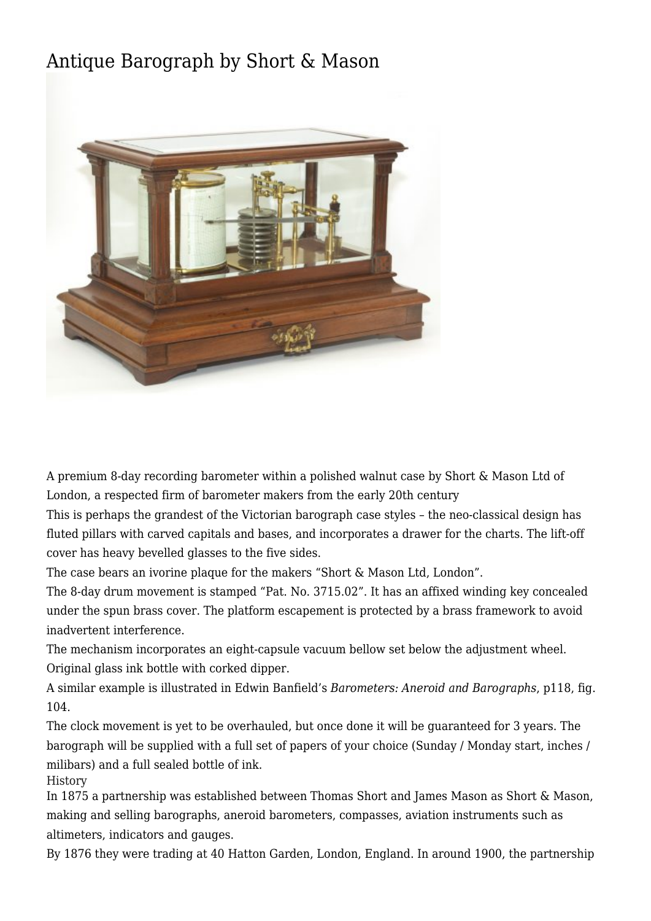## [Antique Barograph by Short & Mason](http://www.ukclocks.com/products/antique-barograph-by-short-mason/)



A premium 8-day recording barometer within a polished walnut case by Short & Mason Ltd of London, a respected firm of barometer makers from the early 20th century

This is perhaps the grandest of the Victorian barograph case styles – the neo-classical design has fluted pillars with carved capitals and bases, and incorporates a drawer for the charts. The lift-off cover has heavy bevelled glasses to the five sides.

The case bears an ivorine plaque for the makers "Short & Mason Ltd, London".

The 8-day drum movement is stamped "Pat. No. 3715.02". It has an affixed winding key concealed under the spun brass cover. The platform escapement is protected by a brass framework to avoid inadvertent interference.

The mechanism incorporates an eight-capsule vacuum bellow set below the adjustment wheel. Original glass ink bottle with corked dipper.

A similar example is illustrated in Edwin Banfield's *Barometers: Aneroid and Barographs*, p118, fig. 104.

The clock movement is yet to be overhauled, but once done it will be guaranteed for 3 years. The barograph will be supplied with a full set of papers of your choice (Sunday / Monday start, inches / milibars) and a full sealed bottle of ink.

History

In 1875 a partnership was established between Thomas Short and James Mason as Short & Mason, making and selling barographs, aneroid barometers, compasses, aviation instruments such as altimeters, indicators and gauges.

By 1876 they were trading at 40 Hatton Garden, London, England. In around 1900, the partnership